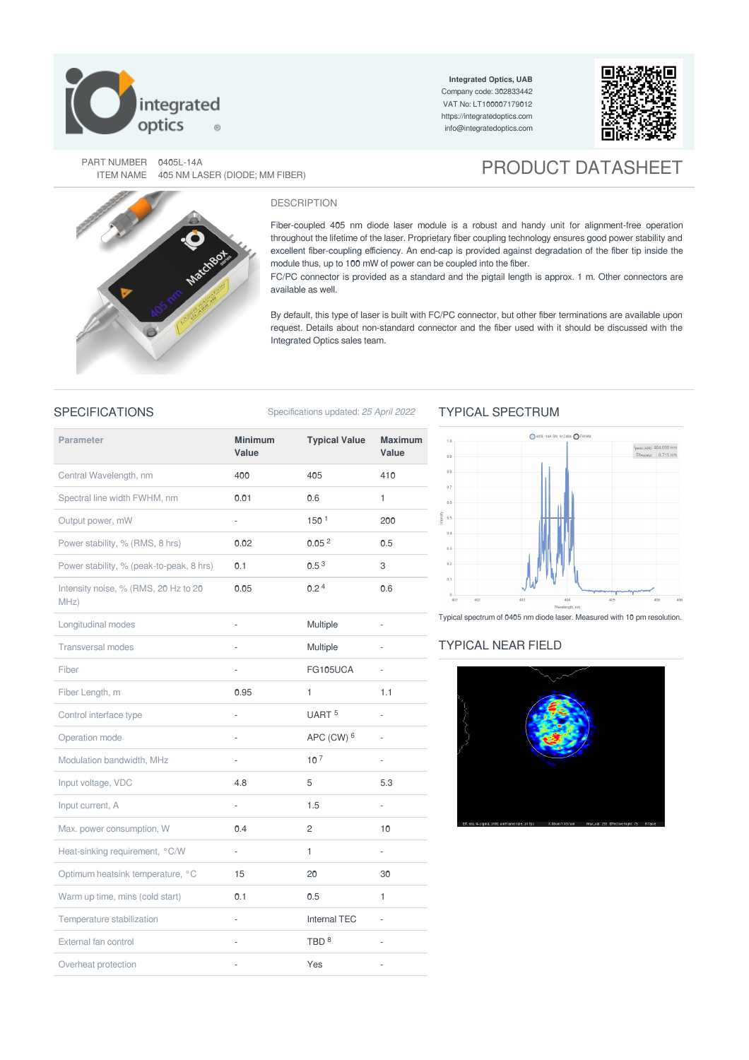

**Integrated Optics, UAB** Company code: 302833442 VAT No: LT100007179012 <https://integratedoptics.com> info@integratedoptics.com



PART NUMBER 0405L-14A<br>ITEM NAME 405 NM LASER (DIODE; MM FIBER)

# **PRODUCT DATASHEET**



#### DESCRIPTION

Fiber-coupled 405 nm diode laser module is a robust and handy unit for alignment-free operation throughout the lifetime of the laser. Proprietary fiber coupling technology ensures good power stability and excellent fiber-coupling efficiency. An end-cap is provided against degradation of the fiber tip inside the module thus, up to 100 mW of power can be coupled into the fiber.

FC/PC connector is provided as a standard and the pigtail length is approx. 1 m. Other connectors are available as well.

By default, this type of laser is built with FC/PC connector, but other fiber terminations are available upon request. Details about non-standard connector and the fiber used with it should be discussed with the Integrated Optics sales team.

#### SPECIFICATIONS Specifications updated: 25 April 2022

### **Parameter Minimum Value Typical Value Maximum Value** Central Wavelength, nm 400 405 410 Spectral line width FWHM, nm **0.01 0.6** 1 Output power, mW and the contract of the contract of the contract of the contract of the contract of the contract of the contract of the contract of the contract of the contract of the contract of the contract of the contr Power stability, % (RMS, 8 hrs) **0.02** 0.05<sup>2</sup> 0.5 Power stability, % (peak-to-peak,  $8 \text{ hrs}$ )  $0.1$  0.5<sup>3</sup> 3 Intensity noise, % (RMS, 20 Hz to 20 MHz)  $0.05$   $0.2^4$  0.6 Longitudinal modes **August 2018** - **Multiple - Multiple -**Transversal modes **Alternative Contract Contract Contract Contract Contract Contract Contract Contract Contract Contract Contract Contract Contract Contract Contract Contract Contract Contract Contract Contract Contract Co** Fiber - FG105UCA - FG105UCA - FG105UCA - FG105UCA - FG105UCA - FG105UCA - FG105UCA - FG105UCA - FG105UCA - FG105UCA - FG105UCA - FG105UCA - FG105UCA - FG105UCA - FG105UCA - FG105UCA - FG105UCA - FG105UCA - FG105UCA - FG105 Fiber Length, m **0.95** 1 1.1 Control interface type  $\overline{U}$  -  $\overline{U}$   $\overline{A}$   $\overline{A}$   $\overline{C}$   $\overline{C}$   $\overline{C}$   $\overline{C}$   $\overline{C}$   $\overline{C}$   $\overline{C}$   $\overline{C}$   $\overline{C}$   $\overline{C}$   $\overline{C}$   $\overline{C}$   $\overline{C}$   $\overline{C}$   $\overline{C}$   $\overline{C}$   $\overline{C}$   $\overline{C}$ Operation mode **APC** (CW) <sup>6</sup> -Modulation bandwidth, MHz  $10<sup>7</sup>$   $-$ Input voltage, VDC 6.3 Input current, A and the set of the set of the set of the set of the set of the set of the set of the set of the set of the set of the set of the set of the set of the set of the set of the set of the set of the set of the Max. power consumption, W 0.4 2 2 10 Heat-sinking requirement, °C/W - 1 Optimum heatsink temperature, °C 15 20 20 30 Warm up time, mins (cold start) **0.1** 0.5 1 Temperature stabilization Temperature stabilization and the state of the Internal TEC and TEC of the Internal TEC External fan control entre and the set of the set of the TBD  $\rm{^{8}}$ Overheat protection and the set of the set of the SVes and the SVes of the SVEs and the SVEs and the SVEs of the SVEs and the SVEs and the SVEs and the SVEs and the SVEs and the SVEs and the SVEs and the SVEs and the SVEs  $150<sup>1</sup>$  $0.05<sup>2</sup>$  $0.5<sup>3</sup>$ UART<sup>5</sup> APC (CW) <sup>6</sup>  $10<sup>7</sup>$ TBD<sup>8</sup>

## TYPICAL SPECTRUM



Typical spectrum of 0405 nm diode laser. Measured with 10 pm resolution.

#### TYPICAL NEAR FIELD